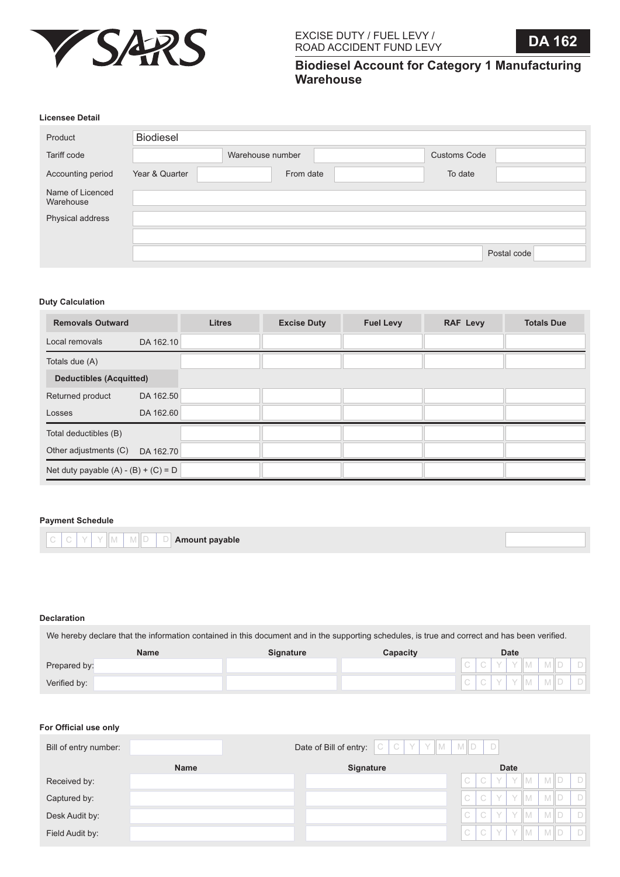

**Biodiesel Account for Category 1 Manufacturing Warehouse**

#### **Licensee Detail**

| Product                       | Biodiesel      |                  |                     |             |
|-------------------------------|----------------|------------------|---------------------|-------------|
| Tariff code                   |                | Warehouse number | <b>Customs Code</b> |             |
| Accounting period             | Year & Quarter | From date        | To date             |             |
| Name of Licenced<br>Warehouse |                |                  |                     |             |
| Physical address              |                |                  |                     |             |
|                               |                |                  |                     |             |
|                               |                |                  |                     | Postal code |

## **Duty Calculation**

| <b>Removals Outward</b>                |           | <b>Litres</b> | <b>Excise Duty</b> | <b>Fuel Levy</b> | <b>RAF Levy</b> | <b>Totals Due</b> |
|----------------------------------------|-----------|---------------|--------------------|------------------|-----------------|-------------------|
| Local removals                         | DA 162.10 |               |                    |                  |                 |                   |
| Totals due (A)                         |           |               |                    |                  |                 |                   |
| <b>Deductibles (Acquitted)</b>         |           |               |                    |                  |                 |                   |
| Returned product                       | DA 162.50 |               |                    |                  |                 |                   |
| Losses                                 | DA 162.60 |               |                    |                  |                 |                   |
| Total deductibles (B)                  |           |               |                    |                  |                 |                   |
| Other adjustments (C)                  | DA 162.70 |               |                    |                  |                 |                   |
| Net duty payable $(A) - (B) + (C) = D$ |           |               |                    |                  |                 |                   |

### **Payment Schedule**

**Amount payable** M M D D  $C$   $Y$   $Y$ 

# **Declaration**

We hereby declare that the information contained in this document and in the supporting schedules, is true and correct and has been verified.

|              | <b>Name</b> | <b>Signature</b> | Capacity | <b>Date</b>                  |   |  |              |            |  |       |
|--------------|-------------|------------------|----------|------------------------------|---|--|--------------|------------|--|-------|
| Prepared by: |             |                  |          | $\curvearrowright$           |   |  | $\mathbf{V}$ | M I D      |  | - U F |
| Verified by: |             |                  |          | $\curvearrowright$<br>$\cup$ | ◡ |  | II M         | <b>MID</b> |  |       |

#### **For Official use only**

| Bill of entry number: |             |                  | Date of Bill of entry: $C \mid C \mid Y \mid Y \mid M \mid M \mid D \mid D$ |                        |   |             |                         |        |
|-----------------------|-------------|------------------|-----------------------------------------------------------------------------|------------------------|---|-------------|-------------------------|--------|
|                       | <b>Name</b> | <b>Signature</b> |                                                                             |                        |   | <b>Date</b> |                         |        |
| Received by:          |             |                  |                                                                             | ⊥C <sup>T</sup>        | C |             | $Y$ $Y$ $M$ $M$ $D$ $D$ |        |
| Captured by:          |             |                  |                                                                             | $\bigcap$              | C |             | YYMMD                   | D      |
| Desk Audit by:        |             |                  |                                                                             | $\triangleleft$ C $^+$ | C |             | $Y$ $Y$ $M$ $M$ $D$     | $\Box$ |
| Field Audit by:       |             |                  |                                                                             | C                      |   |             | $C$ $Y$ $Y$ $M$ $M$ $D$ | $\Box$ |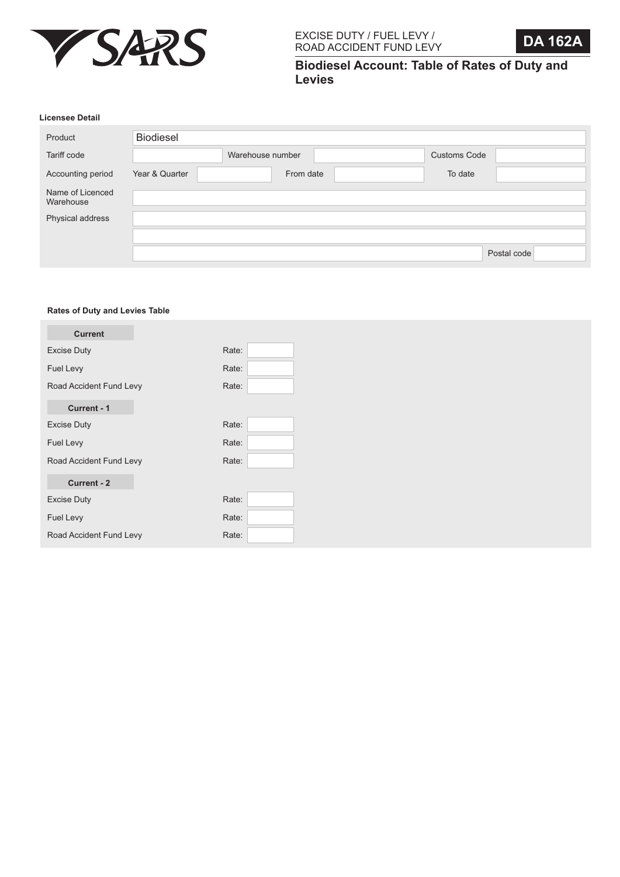



**Biodiesel Account: Table of Rates of Duty and Levies**

# **Licensee Detail**

| <b>Biodiesel</b> |                  |                     |             |
|------------------|------------------|---------------------|-------------|
|                  | Warehouse number | <b>Customs Code</b> |             |
| Year & Quarter   |                  | To date             |             |
|                  |                  |                     |             |
|                  |                  |                     |             |
|                  |                  |                     |             |
|                  |                  |                     | Postal code |
|                  |                  | From date           |             |

## **Rates of Duty and Levies Table**

| <b>Current</b>          |       |  |
|-------------------------|-------|--|
| <b>Excise Duty</b>      | Rate: |  |
| Fuel Levy               | Rate: |  |
| Road Accident Fund Levy | Rate: |  |
| Current - 1             |       |  |
| <b>Excise Duty</b>      | Rate: |  |
| Fuel Levy               | Rate: |  |
| Road Accident Fund Levy | Rate: |  |
| Current - 2             |       |  |
| <b>Excise Duty</b>      | Rate: |  |
| Fuel Levy               | Rate: |  |
| Road Accident Fund Levy | Rate: |  |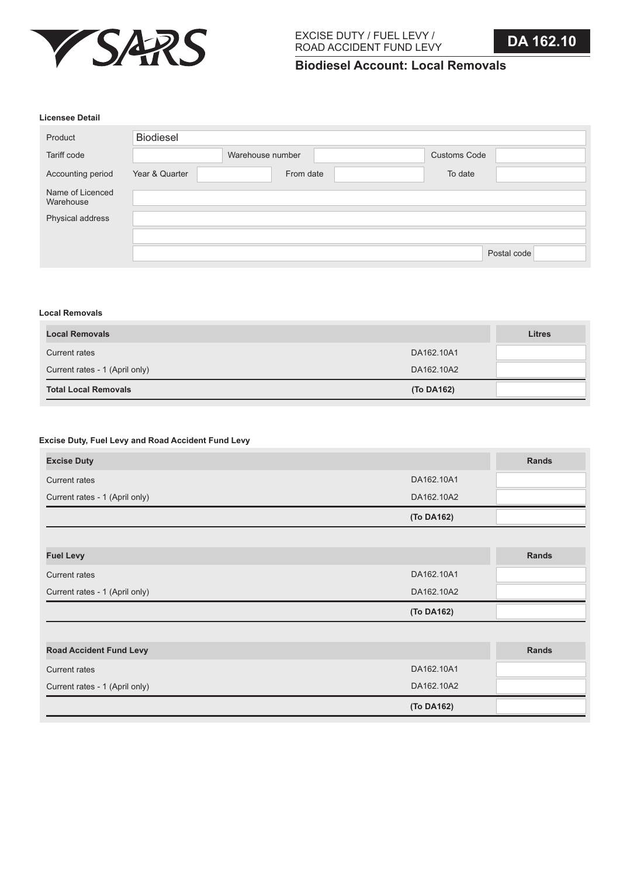

**Biodiesel Account: Local Removals**

### **Licensee Detail**

| Product                       | Biodiesel      |                  |                     |             |
|-------------------------------|----------------|------------------|---------------------|-------------|
| Tariff code                   |                | Warehouse number | <b>Customs Code</b> |             |
| Accounting period             | Year & Quarter | From date        | To date             |             |
| Name of Licenced<br>Warehouse |                |                  |                     |             |
| Physical address              |                |                  |                     |             |
|                               |                |                  |                     |             |
|                               |                |                  |                     | Postal code |

## **Local Removals**

| <b>Local Removals</b>          |            | <b>Litres</b> |
|--------------------------------|------------|---------------|
| Current rates                  | DA162.10A1 |               |
| Current rates - 1 (April only) | DA162.10A2 |               |
| <b>Total Local Removals</b>    | (To DA162) |               |

# **Excise Duty, Fuel Levy and Road Accident Fund Levy**

| <b>Excise Duty</b>             |            | <b>Rands</b> |
|--------------------------------|------------|--------------|
| <b>Current rates</b>           | DA162.10A1 |              |
| Current rates - 1 (April only) | DA162.10A2 |              |
|                                | (To DA162) |              |
|                                |            |              |
| <b>Fuel Levy</b>               |            | <b>Rands</b> |
| <b>Current rates</b>           | DA162.10A1 |              |
| Current rates - 1 (April only) | DA162.10A2 |              |
|                                | (To DA162) |              |
|                                |            |              |
| <b>Road Accident Fund Levy</b> |            | <b>Rands</b> |
| <b>Current rates</b>           | DA162.10A1 |              |
| Current rates - 1 (April only) | DA162.10A2 |              |
|                                | (To DA162) |              |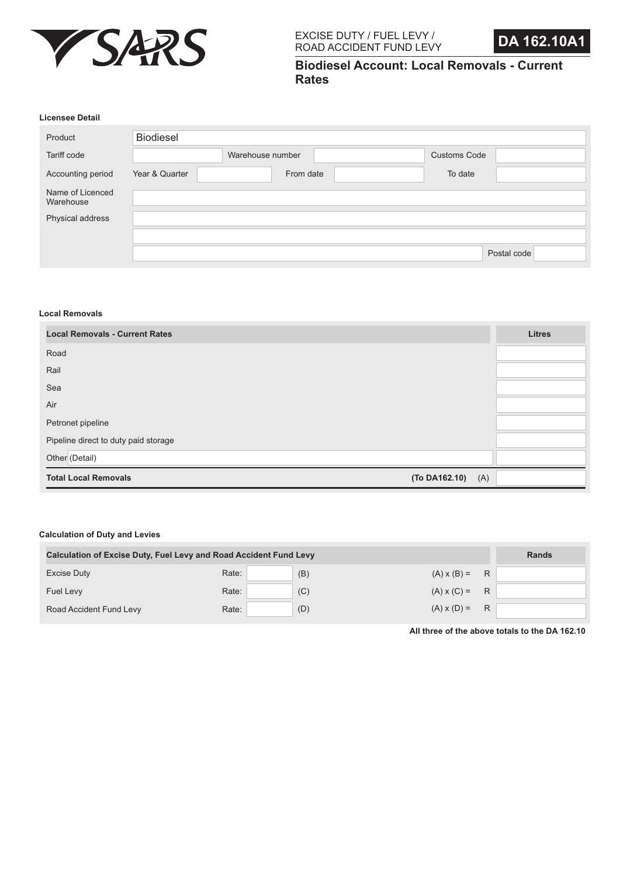



**Biodiesel Account: Local Removals - Current Rates**

#### **Licensee Detail**

| Product                       | <b>Biodiesel</b> |                  |                     |             |
|-------------------------------|------------------|------------------|---------------------|-------------|
| Tariff code                   |                  | Warehouse number | <b>Customs Code</b> |             |
| Accounting period             | Year & Quarter   | From date        | To date             |             |
| Name of Licenced<br>Warehouse |                  |                  |                     |             |
| Physical address              |                  |                  |                     |             |
|                               |                  |                  |                     |             |
|                               |                  |                  |                     | Postal code |

### **Local Removals**

| <b>Local Removals - Current Rates</b> |                      | <b>Litres</b> |
|---------------------------------------|----------------------|---------------|
| Road                                  |                      |               |
| Rail                                  |                      |               |
| Sea                                   |                      |               |
| Air                                   |                      |               |
| Petronet pipeline                     |                      |               |
| Pipeline direct to duty paid storage  |                      |               |
| Other (Detail)                        |                      |               |
| <b>Total Local Removals</b>           | (To DA162.10)<br>(A) |               |

#### **Calculation of Duty and Levies**

| <b>Calculation of Excise Duty, Fuel Levy and Road Accident Fund Levy</b> | <b>Rands</b> |     |                    |   |
|--------------------------------------------------------------------------|--------------|-----|--------------------|---|
| Excise Duty                                                              | Rate:        | (B) | $(A) \times (B) =$ | R |
| Fuel Levy                                                                | Rate:        | (C) | $(A) \times (C) =$ | R |
| Road Accident Fund Levy                                                  | Rate:        | (D) | $(A) \times (D) =$ | R |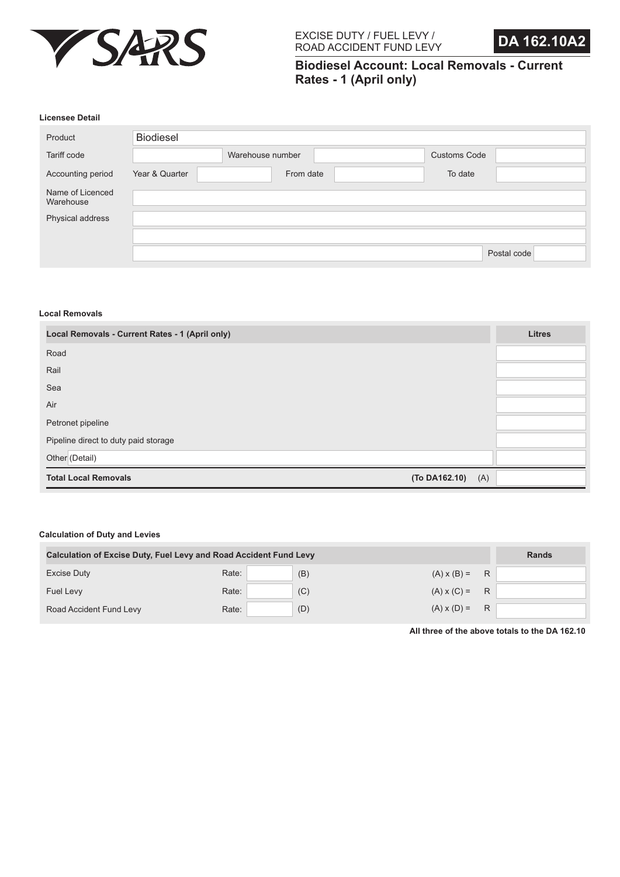



**Biodiesel Account: Local Removals - Current Rates - 1 (April only)**

#### **Licensee Detail**

| Product                       | <b>Biodiesel</b> |                  |                     |             |
|-------------------------------|------------------|------------------|---------------------|-------------|
| Tariff code                   |                  | Warehouse number | <b>Customs Code</b> |             |
| Accounting period             | Year & Quarter   | From date        | To date             |             |
| Name of Licenced<br>Warehouse |                  |                  |                     |             |
| Physical address              |                  |                  |                     |             |
|                               |                  |                  |                     |             |
|                               |                  |                  |                     | Postal code |

### **Local Removals**

| Local Removals - Current Rates - 1 (April only) | <b>Litres</b> |
|-------------------------------------------------|---------------|
| Road                                            |               |
| Rail                                            |               |
| Sea                                             |               |
| Air                                             |               |
| Petronet pipeline                               |               |
| Pipeline direct to duty paid storage            |               |
| Other (Detail)                                  |               |
| <b>Total Local Removals</b><br>(To DA162.10)    | (A)           |

#### **Calculation of Duty and Levies**

| <b>Calculation of Excise Duty, Fuel Levy and Road Accident Fund Levy</b> | <b>Rands</b> |     |                      |   |  |
|--------------------------------------------------------------------------|--------------|-----|----------------------|---|--|
| Excise Duty                                                              | Rate:        | (B) | $(A) \times (B) =$   | R |  |
| Fuel Levy                                                                | Rate:        | (C) | $(A) \times (C) = R$ |   |  |
| Road Accident Fund Levy                                                  | Rate:        | (D) | $(A) \times (D) =$   | R |  |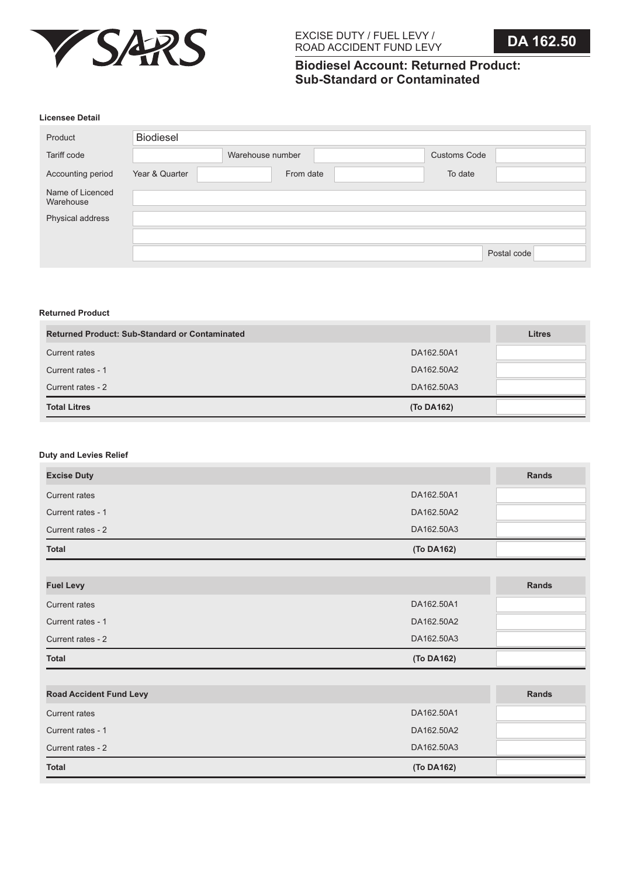

# **Biodiesel Account: Returned Product: Sub-Standard or Contaminated**

#### **Licensee Detail**

| Product                       | <b>Biodiesel</b> |                  |                     |             |
|-------------------------------|------------------|------------------|---------------------|-------------|
| Tariff code                   |                  | Warehouse number | <b>Customs Code</b> |             |
| Accounting period             | Year & Quarter   | From date        | To date             |             |
| Name of Licenced<br>Warehouse |                  |                  |                     |             |
| Physical address              |                  |                  |                     |             |
|                               |                  |                  |                     |             |
|                               |                  |                  |                     | Postal code |

## **Returned Product**

| <b>Returned Product: Sub-Standard or Contaminated</b> |            | <b>Litres</b> |
|-------------------------------------------------------|------------|---------------|
| Current rates                                         | DA162.50A1 |               |
| Current rates - 1                                     | DA162,50A2 |               |
| Current rates - 2                                     | DA162.50A3 |               |
| <b>Total Litres</b>                                   | (To DA162) |               |

## **Duty and Levies Relief**

| <b>Excise Duty</b>             |            | Rands |
|--------------------------------|------------|-------|
| <b>Current rates</b>           | DA162.50A1 |       |
| Current rates - 1              | DA162.50A2 |       |
| Current rates - 2              | DA162.50A3 |       |
| <b>Total</b>                   | (To DA162) |       |
|                                |            |       |
| <b>Fuel Levy</b>               |            | Rands |
| <b>Current rates</b>           | DA162.50A1 |       |
| Current rates - 1              | DA162.50A2 |       |
| Current rates - 2              | DA162,50A3 |       |
| <b>Total</b>                   | (To DA162) |       |
|                                |            |       |
| <b>Road Accident Fund Levy</b> |            | Rands |
| <b>Current rates</b>           | DA162.50A1 |       |
| Current rates - 1              | DA162.50A2 |       |
| Current rates - 2              | DA162.50A3 |       |
| <b>Total</b>                   | (To DA162) |       |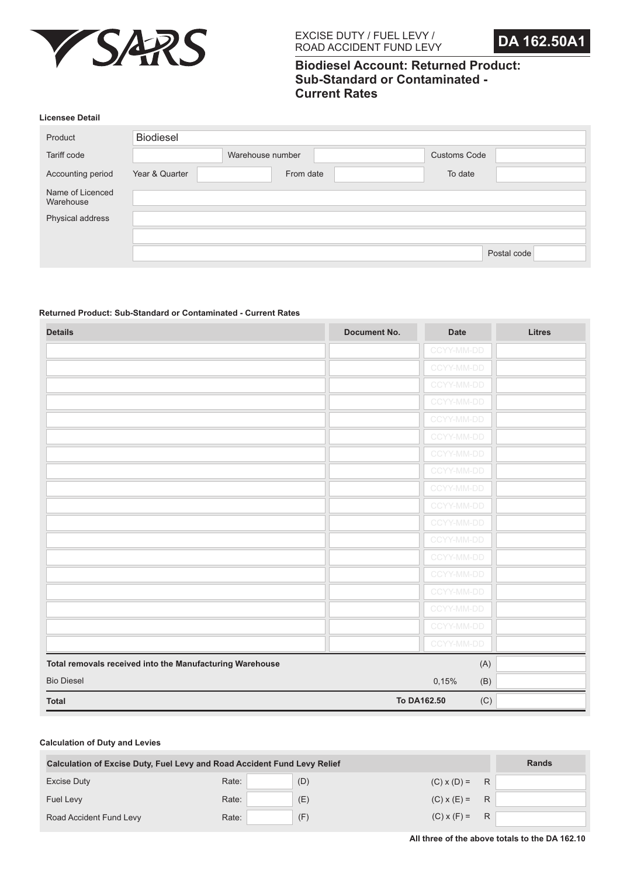



# **Biodiesel Account: Returned Product: Sub-Standard or Contaminated - Current Rates**

#### **Licensee Detail**

| <b>Biodiesel</b> |                  |                     |             |
|------------------|------------------|---------------------|-------------|
|                  | Warehouse number | <b>Customs Code</b> |             |
| Year & Quarter   |                  | To date             |             |
|                  |                  |                     |             |
|                  |                  |                     |             |
|                  |                  |                     |             |
|                  |                  |                     | Postal code |
|                  |                  | From date           |             |

### **Returned Product: Sub-Standard or Contaminated - Current Rates**

| <b>Details</b>                                           | <b>Document No.</b> | <b>Date</b> | <b>Litres</b> |
|----------------------------------------------------------|---------------------|-------------|---------------|
|                                                          |                     | CCYY-MM-DD  |               |
|                                                          |                     | CCYY-MM-DD  |               |
|                                                          |                     | CCYY-MM-DD  |               |
|                                                          |                     | CCYY-MM-DD  |               |
|                                                          |                     | CCYY-MM-DD  |               |
|                                                          |                     | CCYY-MM-DD  |               |
|                                                          |                     | CCYY-MM-DD  |               |
|                                                          |                     | CCYY-MM-DD  |               |
|                                                          |                     | CCYY-MM-DD  |               |
|                                                          |                     | CCYY-MM-DD  |               |
|                                                          |                     | CCYY-MM-DD  |               |
|                                                          |                     | CCYY-MM-DD  |               |
|                                                          |                     | CCYY-MM-DD  |               |
|                                                          |                     | CCYY-MM-DD  |               |
|                                                          |                     | CCYY-MM-DD  |               |
|                                                          |                     | CCYY-MM-DD  |               |
|                                                          |                     | CCYY-MM-DD  |               |
|                                                          |                     | CCYY-MM-DD  |               |
| Total removals received into the Manufacturing Warehouse |                     |             | (A)           |
| <b>Bio Diesel</b>                                        |                     | 0,15%       | (B)           |
| <b>Total</b>                                             |                     | To DA162.50 | (C)           |

| <b>Calculation of Excise Duty, Fuel Levy and Road Accident Fund Levy Relief</b> |       |     |                    |   | <b>Rands</b> |
|---------------------------------------------------------------------------------|-------|-----|--------------------|---|--------------|
| <b>Excise Duty</b>                                                              | Rate: | (D) | $(C)$ x $(D)$ =    | R |              |
| Fuel Levy                                                                       | Rate: | (E) | $(C) \times (E) =$ | R |              |
| Road Accident Fund Levy                                                         | Rate: | (F) | $(C) \times (F) =$ | R |              |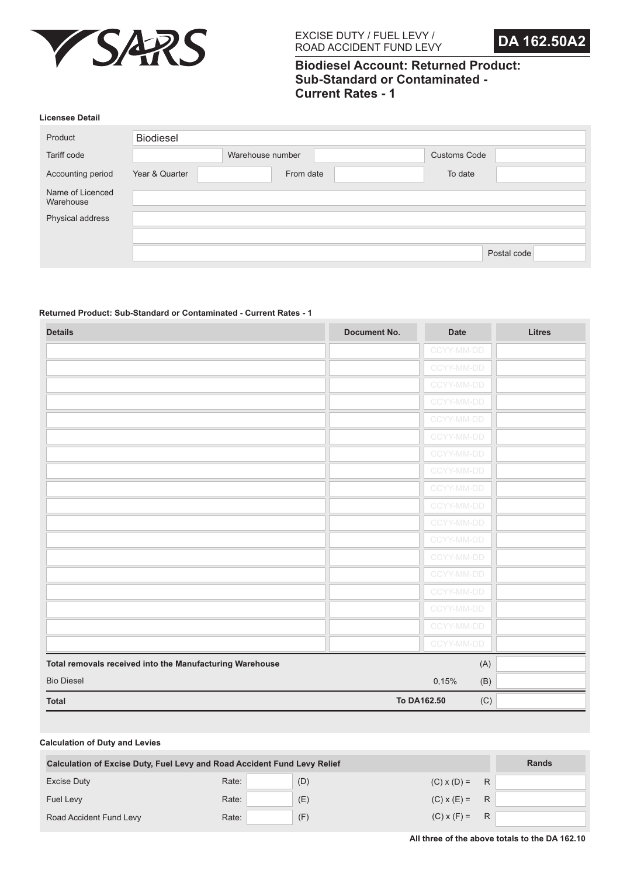



# **Biodiesel Account: Returned Product: Sub-Standard or Contaminated - Current Rates - 1**

#### **Licensee Detail**

| <b>Biodiesel</b> |                  |                     |             |
|------------------|------------------|---------------------|-------------|
|                  | Warehouse number | <b>Customs Code</b> |             |
| Year & Quarter   |                  | To date             |             |
|                  |                  |                     |             |
|                  |                  |                     |             |
|                  |                  |                     |             |
|                  |                  |                     | Postal code |
|                  |                  | From date           |             |

## **Returned Product: Sub-Standard or Contaminated - Current Rates - 1**

| <b>Details</b>                                           | <b>Document No.</b> | <b>Date</b>        | <b>Litres</b> |
|----------------------------------------------------------|---------------------|--------------------|---------------|
|                                                          |                     | CCYY-MM-DD         |               |
|                                                          |                     | CCYY-MM-DD         |               |
|                                                          |                     | CCYY-MM-DD         |               |
|                                                          |                     | CCYY-MM-DD         |               |
|                                                          |                     | CCYY-MM-DD         |               |
|                                                          |                     | CCYY-MM-DD         |               |
|                                                          |                     | CCYY-MM-DD         |               |
|                                                          |                     | CCYY-MM-DD         |               |
|                                                          |                     | CCYY-MM-DD         |               |
|                                                          |                     | CCYY-MM-DD         |               |
|                                                          |                     | CCYY-MM-DD         |               |
|                                                          |                     | CCYY-MM-DD         |               |
|                                                          |                     | CCYY-MM-DD         |               |
|                                                          |                     | CCYY-MM-DD         |               |
|                                                          |                     | CCYY-MM-DD         |               |
|                                                          |                     | CCYY-MM-DD         |               |
|                                                          |                     | CCYY-MM-DD         |               |
|                                                          |                     | CCYY-MM-DD         |               |
| Total removals received into the Manufacturing Warehouse |                     | (A)                |               |
| <b>Bio Diesel</b>                                        |                     | 0,15%<br>(B)       |               |
| <b>Total</b>                                             |                     | To DA162.50<br>(C) |               |

| <b>Calculation of Excise Duty, Fuel Levy and Road Accident Fund Levy Relief</b> | <b>Rands</b> |     |                      |   |  |
|---------------------------------------------------------------------------------|--------------|-----|----------------------|---|--|
| <b>Excise Duty</b>                                                              | Rate:        | (D) | $(C)$ x $(D)$ =      | R |  |
| Fuel Levy                                                                       | Rate:        | (E) | $(C) \times (E) = R$ |   |  |
| Road Accident Fund Levy                                                         | Rate:        | (F) | $(C)$ x $(F)$ =      | R |  |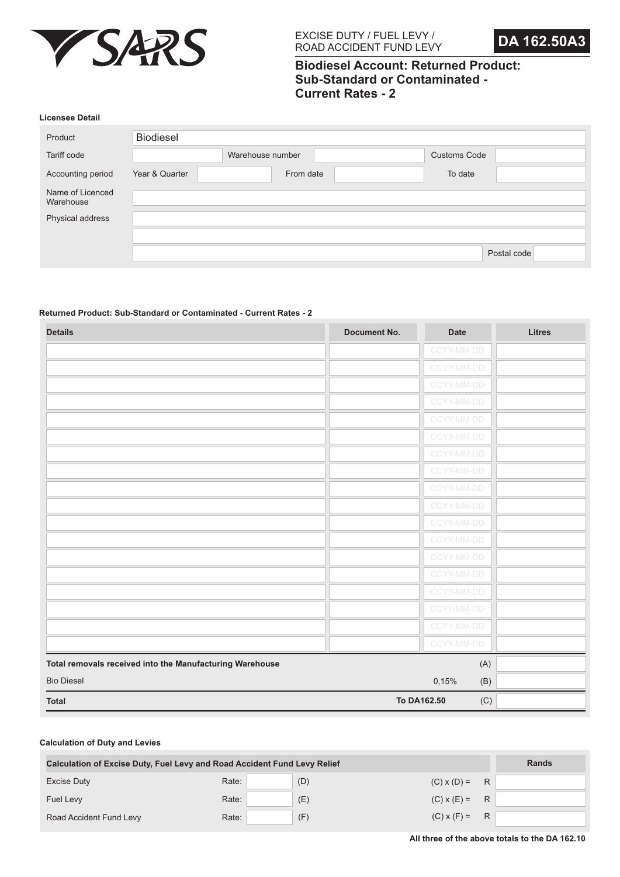



# **Biodiesel Account: Returned Product: Sub-Standard or Contaminated - Current Rates - 2**

#### **Licensee Detail**

| <b>Biodiesel</b> |                  |                     |             |
|------------------|------------------|---------------------|-------------|
|                  | Warehouse number | <b>Customs Code</b> |             |
| Year & Quarter   |                  | To date             |             |
|                  |                  |                     |             |
|                  |                  |                     |             |
|                  |                  |                     |             |
|                  |                  |                     | Postal code |
|                  |                  | From date           |             |

## **Returned Product: Sub-Standard or Contaminated - Current Rates - 2**

| <b>Details</b>                                           | <b>Document No.</b> | <b>Date</b> | <b>Litres</b> |
|----------------------------------------------------------|---------------------|-------------|---------------|
|                                                          |                     | CCYY-MM-DD  |               |
|                                                          |                     | CCYY-MM-DD  |               |
|                                                          |                     | CCYY-MM-DD  |               |
|                                                          |                     | CCYY-MM-DD  |               |
|                                                          |                     | CCYY-MM-DD  |               |
|                                                          |                     | CCYY-MM-DD  |               |
|                                                          |                     | CCYY-MM-DD  |               |
|                                                          |                     | CCYY-MM-DD  |               |
|                                                          |                     | CCYY-MM-DD  |               |
|                                                          |                     | CCYY-MM-DD  |               |
|                                                          |                     | CCYY-MM-DD  |               |
|                                                          |                     | CCYY-MM-DD  |               |
|                                                          |                     | CCYY-MM-DD  |               |
|                                                          |                     | CCYY-MM-DD  |               |
|                                                          |                     | CCYY-MM-DD  |               |
|                                                          |                     | CCYY-MM-DD  |               |
|                                                          |                     | CCYY-MM-DD  |               |
|                                                          |                     | CCYY-MM-DD  |               |
| Total removals received into the Manufacturing Warehouse |                     |             | (A)           |
| <b>Bio Diesel</b>                                        |                     | 0,15%       | (B)           |
| <b>Total</b>                                             |                     | To DA162.50 | (C)           |

| <b>Calculation of Excise Duty, Fuel Levy and Road Accident Fund Levy Relief</b> |       | <b>Rands</b> |                 |   |  |
|---------------------------------------------------------------------------------|-------|--------------|-----------------|---|--|
| Excise Duty                                                                     | Rate: | (D)          | $(C)$ x $(D)$ = | R |  |
| <b>Fuel Levy</b>                                                                | Rate: | (E)          | $(C)$ x $(E)$ = | R |  |
| Road Accident Fund Levy                                                         | Rate: | (F)          | $(C)$ x $(F)$ = | R |  |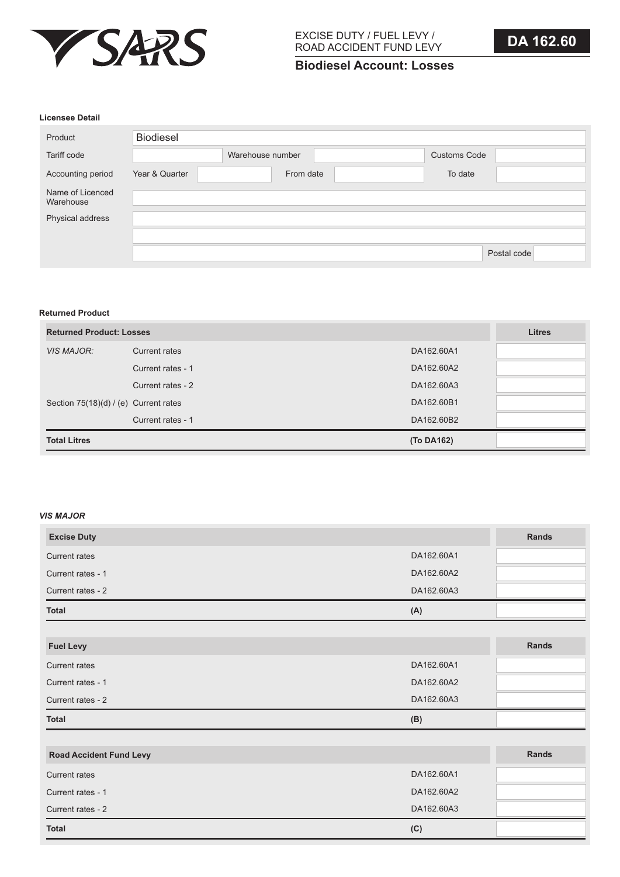

# **Biodiesel Account: Losses**

# **Licensee Detail**

| Product                       | Biodiesel      |                  |                     |  |
|-------------------------------|----------------|------------------|---------------------|--|
| Tariff code                   |                | Warehouse number | <b>Customs Code</b> |  |
| Accounting period             | Year & Quarter | From date        | To date             |  |
| Name of Licenced<br>Warehouse |                |                  |                     |  |
| Physical address              |                |                  |                     |  |
|                               |                |                  |                     |  |
|                               |                |                  | Postal code         |  |

## **Returned Product**

| <b>Returned Product: Losses</b>         |                   |            | <b>Litres</b> |
|-----------------------------------------|-------------------|------------|---------------|
| <b>VIS MAJOR:</b>                       | Current rates     | DA162,60A1 |               |
|                                         | Current rates - 1 | DA162,60A2 |               |
|                                         | Current rates - 2 | DA162,60A3 |               |
| Section $75(18)(d) / (e)$ Current rates |                   | DA162,60B1 |               |
|                                         | Current rates - 1 | DA162,60B2 |               |
| <b>Total Litres</b>                     |                   | (To DA162) |               |

## *VIS MAJOR*

| <b>Excise Duty</b>             |            | Rands        |
|--------------------------------|------------|--------------|
| <b>Current rates</b>           | DA162.60A1 |              |
|                                |            |              |
| Current rates - 1              | DA162.60A2 |              |
| Current rates - 2              | DA162.60A3 |              |
| <b>Total</b>                   | (A)        |              |
|                                |            |              |
| <b>Fuel Levy</b>               |            | <b>Rands</b> |
| <b>Current rates</b>           | DA162.60A1 |              |
| Current rates - 1              | DA162.60A2 |              |
| Current rates - 2              | DA162.60A3 |              |
| <b>Total</b>                   | (B)        |              |
|                                |            |              |
| <b>Road Accident Fund Levy</b> |            | Rands        |
| Current rates                  | DA162,60A1 |              |
| Current rates - 1              | DA162.60A2 |              |
| Current rates - 2              | DA162.60A3 |              |
| <b>Total</b>                   | (C)        |              |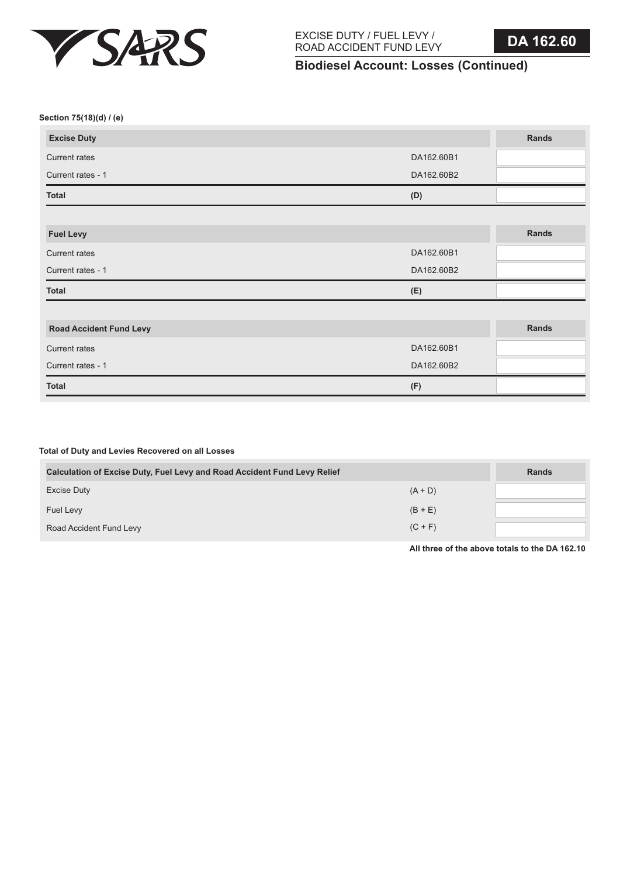

**Total of Duty and Levies Recovered on all Losses**

EXCISE DUTY / FUEL LEVY / ROAD ACCIDENT FUND LEVY

# **Biodiesel Account: Losses (Continued)**

**Section 75(18)(d) / (e)**

| <b>Excise Duty</b>             |            | Rands |
|--------------------------------|------------|-------|
| <b>Current rates</b>           | DA162.60B1 |       |
| Current rates - 1              | DA162.60B2 |       |
| <b>Total</b>                   | (D)        |       |
|                                |            |       |
| <b>Fuel Levy</b>               |            | Rands |
| <b>Current rates</b>           | DA162.60B1 |       |
| Current rates - 1              | DA162.60B2 |       |
| <b>Total</b>                   | (E)        |       |
|                                |            |       |
| <b>Road Accident Fund Levy</b> |            | Rands |
| <b>Current rates</b>           | DA162.60B1 |       |
| Current rates - 1              | DA162.60B2 |       |
| <b>Total</b>                   | (F)        |       |

| <b>Calculation of Excise Duty, Fuel Levy and Road Accident Fund Levy Relief</b> | <b>Rands</b> |  |
|---------------------------------------------------------------------------------|--------------|--|
| Excise Duty                                                                     | $(A + D)$    |  |
| Fuel Levy                                                                       | $(B + E)$    |  |
| Road Accident Fund Levy                                                         | $(C + F)$    |  |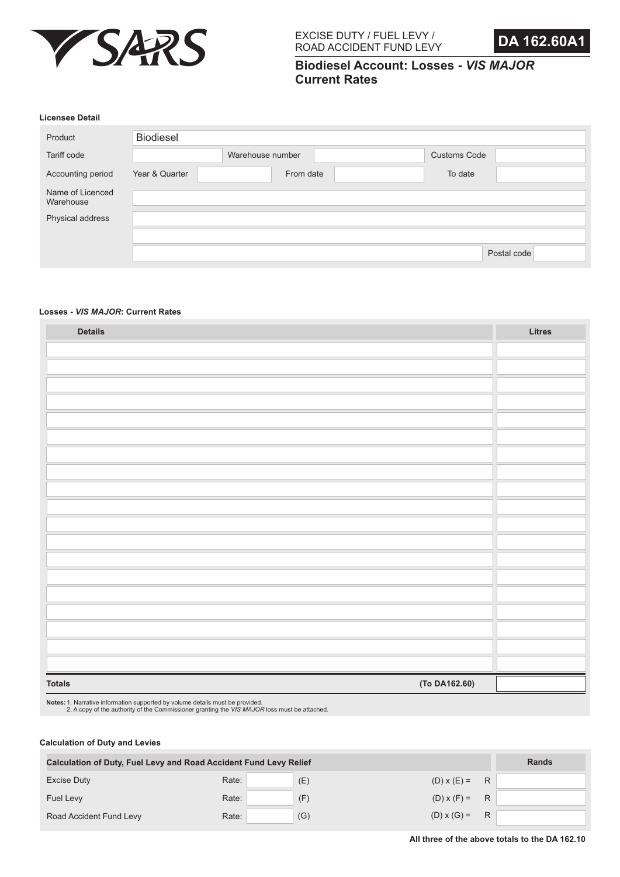



**Biodiesel Account: Losses -** *VIS MAJOR* **Current Rates**

#### **Licensee Detail**

| Product                       | Biodiesel      |                  |                     |             |
|-------------------------------|----------------|------------------|---------------------|-------------|
| Tariff code                   |                | Warehouse number | <b>Customs Code</b> |             |
| Accounting period             | Year & Quarter | From date        | To date             |             |
| Name of Licenced<br>Warehouse |                |                  |                     |             |
| Physical address              |                |                  |                     |             |
|                               |                |                  |                     |             |
|                               |                |                  |                     | Postal code |

#### **Losses -** *VIS MAJOR***: Current Rates**

| <b>Details</b>                 | Litres |
|--------------------------------|--------|
|                                |        |
|                                |        |
|                                |        |
|                                |        |
|                                |        |
|                                |        |
|                                |        |
|                                |        |
|                                |        |
|                                |        |
|                                |        |
|                                |        |
|                                |        |
|                                |        |
|                                |        |
|                                |        |
|                                |        |
|                                |        |
|                                |        |
| (To DA162.60)<br><b>Totals</b> |        |

**Notes:** 1. Narrative information supported by volume details must be provided. 2. A copy of the authority of the Commissioner granting the *VIS MAJOR* loss must be attached.

| <b>Calculation of Duty, Fuel Levy and Road Accident Fund Levy Relief</b> | <b>Rands</b> |     |                      |   |  |
|--------------------------------------------------------------------------|--------------|-----|----------------------|---|--|
| <b>Excise Duty</b>                                                       | Rate:        | (E) | $(D) \times (E) =$   | R |  |
| Fuel Levy                                                                | Rate:        | (F) | $(D) x (F) = R$      |   |  |
| Road Accident Fund Levy                                                  | Rate:        | (G) | $(D) \times (G) = R$ |   |  |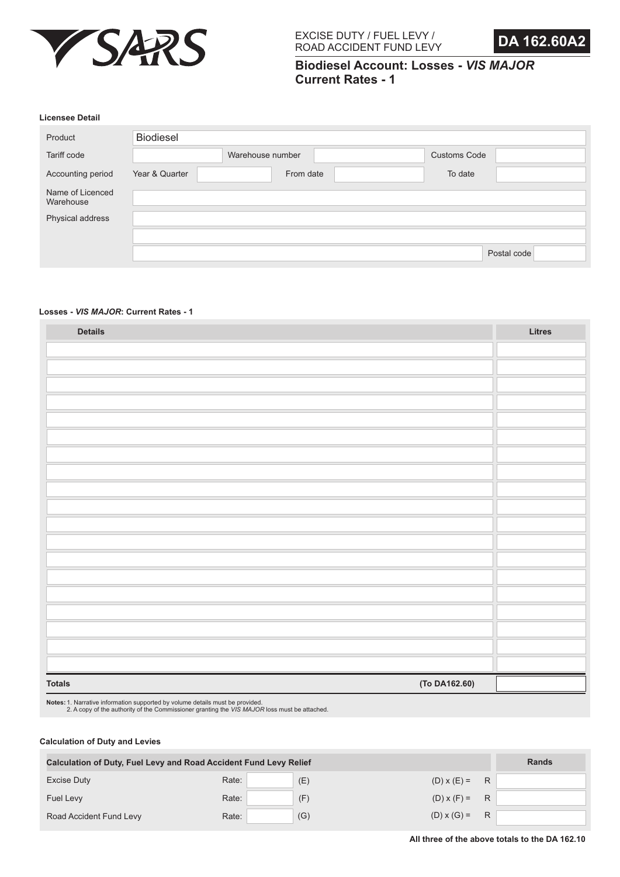



**Biodiesel Account: Losses -** *VIS MAJOR* **Current Rates - 1**

#### **Licensee Detail**

| Product                       | <b>Biodiesel</b> |                  |                     |             |
|-------------------------------|------------------|------------------|---------------------|-------------|
| Tariff code                   |                  | Warehouse number | <b>Customs Code</b> |             |
| Accounting period             | Year & Quarter   | From date        | To date             |             |
| Name of Licenced<br>Warehouse |                  |                  |                     |             |
| Physical address              |                  |                  |                     |             |
|                               |                  |                  |                     |             |
|                               |                  |                  |                     | Postal code |

#### **Losses -** *VIS MAJOR***: Current Rates - 1**

| <b>Details</b>                 | Litres |
|--------------------------------|--------|
|                                |        |
|                                |        |
|                                |        |
|                                |        |
|                                |        |
|                                |        |
|                                |        |
|                                |        |
|                                |        |
|                                |        |
|                                |        |
|                                |        |
|                                |        |
|                                |        |
|                                |        |
|                                |        |
|                                |        |
|                                |        |
|                                |        |
| (To DA162.60)<br><b>Totals</b> |        |

**Notes:** 1. Narrative information supported by volume details must be provided. 2. A copy of the authority of the Commissioner granting the *VIS MAJOR* loss must be attached.

| <b>Calculation of Duty, Fuel Levy and Road Accident Fund Levy Relief</b> |       | <b>Rands</b> |                      |   |  |
|--------------------------------------------------------------------------|-------|--------------|----------------------|---|--|
| <b>Excise Duty</b>                                                       | Rate: | (E)          | $(D) \times (E) =$   | R |  |
| <b>Fuel Levy</b>                                                         | Rate: | (F)          | $(D) \times (F) = R$ |   |  |
| Road Accident Fund Levy                                                  | Rate: | (G)          | $(D) \times (G) =$   | R |  |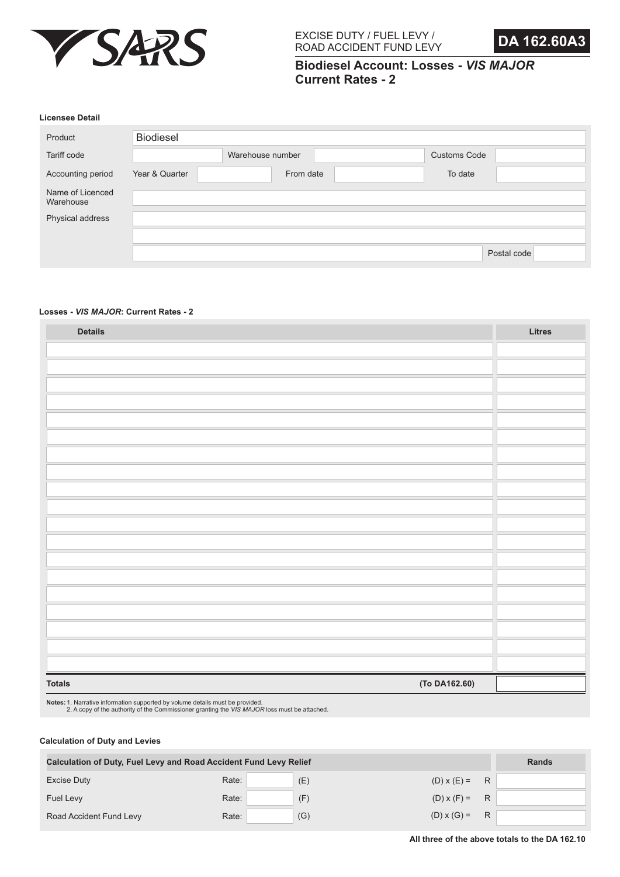



**Biodiesel Account: Losses -** *VIS MAJOR* **Current Rates - 2**

#### **Licensee Detail**

| Product                       | <b>Biodiesel</b> |                  |                     |             |
|-------------------------------|------------------|------------------|---------------------|-------------|
| Tariff code                   |                  | Warehouse number | <b>Customs Code</b> |             |
| Accounting period             | Year & Quarter   | From date        | To date             |             |
| Name of Licenced<br>Warehouse |                  |                  |                     |             |
| Physical address              |                  |                  |                     |             |
|                               |                  |                  |                     |             |
|                               |                  |                  |                     | Postal code |

#### **Losses -** *VIS MAJOR***: Current Rates - 2**

| <b>Details</b>                 | Litres |
|--------------------------------|--------|
|                                |        |
|                                |        |
|                                |        |
|                                |        |
|                                |        |
|                                |        |
|                                |        |
|                                |        |
|                                |        |
|                                |        |
|                                |        |
|                                |        |
|                                |        |
|                                |        |
|                                |        |
|                                |        |
|                                |        |
|                                |        |
|                                |        |
| (To DA162.60)<br><b>Totals</b> |        |

**Notes:** 1. Narrative information supported by volume details must be provided. 2. A copy of the authority of the Commissioner granting the *VIS MAJOR* loss must be attached.

| <b>Calculation of Duty, Fuel Levy and Road Accident Fund Levy Relief</b> | <b>Rands</b> |     |                    |   |  |
|--------------------------------------------------------------------------|--------------|-----|--------------------|---|--|
| Excise Duty                                                              | Rate:        | (E) | $(D) \times (E) =$ | R |  |
| Fuel Levy                                                                | Rate:        | (F) | $(D) \times (F) =$ | R |  |
| Road Accident Fund Levy                                                  | Rate:        | (G) | $(D) \times (G) =$ | R |  |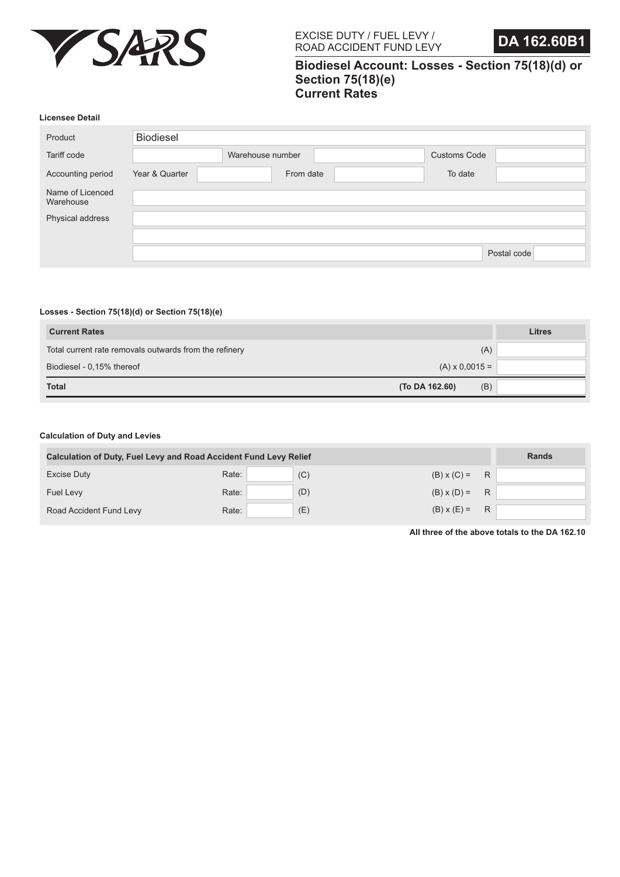



# **Biodiesel Account: Losses - Section 75(18)(d) or Section 75(18)(e) Current Rates**

#### **Licensee Detail**

| Product                       | <b>Biodiesel</b> |                  |           |                     |             |
|-------------------------------|------------------|------------------|-----------|---------------------|-------------|
| Tariff code                   |                  | Warehouse number |           | <b>Customs Code</b> |             |
| Accounting period             | Year & Quarter   |                  | From date | To date             |             |
| Name of Licenced<br>Warehouse |                  |                  |           |                     |             |
| Physical address              |                  |                  |           |                     |             |
|                               |                  |                  |           |                     |             |
|                               |                  |                  |           |                     | Postal code |

#### **Losses - Section 75(18)(d) or Section 75(18)(e)**

| <b>Current Rates</b>                                   |                       | <b>Litres</b> |
|--------------------------------------------------------|-----------------------|---------------|
| Total current rate removals outwards from the refinery | (A)                   |               |
| Biodiesel - 0,15% thereof                              | $(A) \times 0,0015 =$ |               |
| <b>Total</b>                                           | (B)<br>(To DA 162.60) |               |

#### **Calculation of Duty and Levies**

| <b>Calculation of Duty, Fuel Levy and Road Accident Fund Levy Relief</b> | <b>Rands</b> |     |                    |   |  |
|--------------------------------------------------------------------------|--------------|-----|--------------------|---|--|
| <b>Excise Duty</b>                                                       | Rate:        | (C) | $(B) \times (C) =$ | R |  |
| Fuel Levy                                                                | Rate:        | (D) | $(B) \times (D) =$ | R |  |
| Road Accident Fund Levy                                                  | Rate:        | (E) | $(B) x (E) =$      | R |  |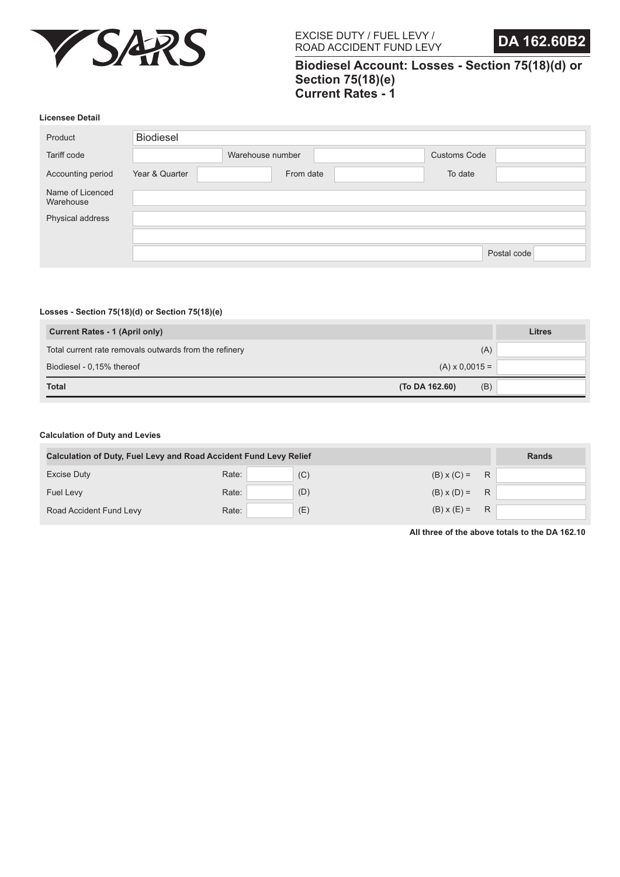



# **Biodiesel Account: Losses - Section 75(18)(d) or Section 75(18)(e) Current Rates - 1**

#### **Licensee Detail**

| Product                       | <b>Biodiesel</b> |                  |           |                     |             |
|-------------------------------|------------------|------------------|-----------|---------------------|-------------|
| Tariff code                   |                  | Warehouse number |           | <b>Customs Code</b> |             |
| Accounting period             | Year & Quarter   |                  | From date | To date             |             |
| Name of Licenced<br>Warehouse |                  |                  |           |                     |             |
| Physical address              |                  |                  |           |                     |             |
|                               |                  |                  |           |                     |             |
|                               |                  |                  |           |                     | Postal code |

#### **Losses - Section 75(18)(d) or Section 75(18)(e)**

| <b>Current Rates - 1 (April only)</b>                  |                       | Litres |
|--------------------------------------------------------|-----------------------|--------|
| Total current rate removals outwards from the refinery | (A)                   |        |
| Biodiesel - 0,15% thereof                              | $(A) \times 0,0015 =$ |        |
| <b>Total</b>                                           | (B)<br>(To DA 162.60) |        |

#### **Calculation of Duty and Levies**

| <b>Calculation of Duty, Fuel Levy and Road Accident Fund Levy Relief</b> | <b>Rands</b> |     |                    |   |  |
|--------------------------------------------------------------------------|--------------|-----|--------------------|---|--|
| <b>Excise Duty</b>                                                       | Rate:        | (C) | $(B) \times (C) =$ | R |  |
| <b>Fuel Levy</b>                                                         | Rate:        | (D) | $(B) \times (D) =$ | R |  |
| Road Accident Fund Levy                                                  | Rate:        | (E) | $(B) \times (E) =$ | R |  |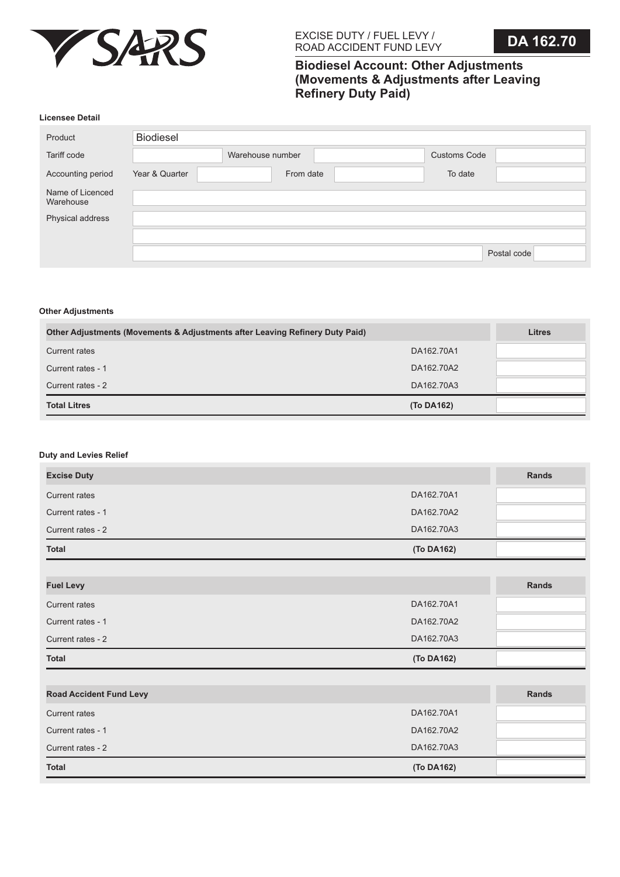

# **Biodiesel Account: Other Adjustments (Movements & Adjustments after Leaving Refinery Duty Paid)**

#### **Licensee Detail**

| Product                       | <b>Biodiesel</b> |                  |                     |             |
|-------------------------------|------------------|------------------|---------------------|-------------|
| Tariff code                   |                  | Warehouse number | <b>Customs Code</b> |             |
| Accounting period             | Year & Quarter   | From date        | To date             |             |
| Name of Licenced<br>Warehouse |                  |                  |                     |             |
| Physical address              |                  |                  |                     |             |
|                               |                  |                  |                     |             |
|                               |                  |                  |                     | Postal code |

#### **Other Adjustments**

| <b>Other Adjustments (Movements &amp; Adjustments after Leaving Refinery Duty Paid)</b> | <b>Litres</b> |  |
|-----------------------------------------------------------------------------------------|---------------|--|
| Current rates                                                                           | DA162,70A1    |  |
| Current rates - 1                                                                       | DA162.70A2    |  |
| Current rates - 2                                                                       | DA162.70A3    |  |
| <b>Total Litres</b>                                                                     | (To DA162)    |  |

## **Duty and Levies Relief**

| <b>Excise Duty</b>             |            | <b>Rands</b> |
|--------------------------------|------------|--------------|
| <b>Current rates</b>           | DA162.70A1 |              |
| Current rates - 1              | DA162.70A2 |              |
| Current rates - 2              | DA162.70A3 |              |
| Total                          | (To DA162) |              |
|                                |            |              |
| <b>Fuel Levy</b>               |            | Rands        |
| <b>Current rates</b>           | DA162.70A1 |              |
| Current rates - 1              | DA162.70A2 |              |
| Current rates - 2              | DA162.70A3 |              |
| <b>Total</b>                   | (To DA162) |              |
|                                |            |              |
| <b>Road Accident Fund Levy</b> |            | Rands        |
| <b>Current rates</b>           | DA162.70A1 |              |
| Current rates - 1              | DA162.70A2 |              |
| Current rates - 2              | DA162.70A3 |              |
| <b>Total</b>                   | (To DA162) |              |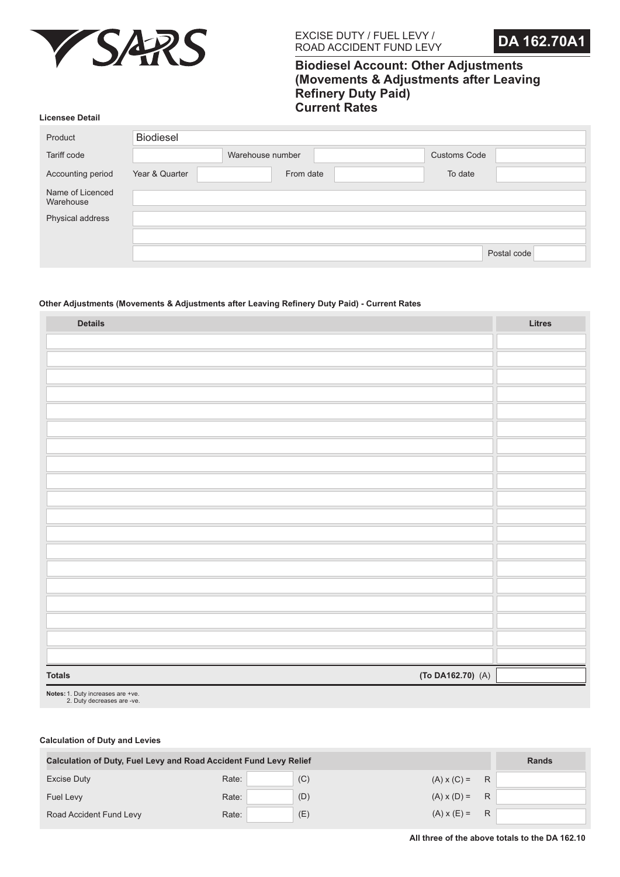



# **Biodiesel Account: Other Adjustments (Movements & Adjustments after Leaving Refinery Duty Paid) Current Rates**

#### **Licensee Detail**

| Product                       | <b>Biodiesel</b> |                  |                     |             |
|-------------------------------|------------------|------------------|---------------------|-------------|
| Tariff code                   |                  | Warehouse number | <b>Customs Code</b> |             |
| Accounting period             | Year & Quarter   | From date        | To date             |             |
| Name of Licenced<br>Warehouse |                  |                  |                     |             |
| Physical address              |                  |                  |                     |             |
|                               |                  |                  |                     |             |
|                               |                  |                  |                     | Postal code |

# **Other Adjustments (Movements & Adjustments after Leaving Refinery Duty Paid) - Current Rates**

| <b>Details</b>                         | Litres |
|----------------------------------------|--------|
|                                        |        |
|                                        |        |
|                                        |        |
|                                        |        |
|                                        |        |
|                                        |        |
|                                        |        |
|                                        |        |
|                                        |        |
|                                        |        |
|                                        |        |
|                                        |        |
|                                        |        |
|                                        |        |
|                                        |        |
|                                        |        |
|                                        |        |
|                                        |        |
|                                        |        |
| $(To DA162.70)$ $(A)$<br><b>Totals</b> |        |

Notes: 1. Duty increases are +ve.<br>2. Duty decreases are -ve.

| <b>Calculation of Duty, Fuel Levy and Road Accident Fund Levy Relief</b> |       |     |                    |   | <b>Rands</b> |
|--------------------------------------------------------------------------|-------|-----|--------------------|---|--------------|
| Excise Duty                                                              | Rate: | (C) | $(A) \times (C) =$ | R |              |
| Fuel Levy                                                                | Rate: | (D) | $(A) \times (D) =$ | R |              |
| Road Accident Fund Levy                                                  | Rate: | (E) | $(A) \times (E) =$ | R |              |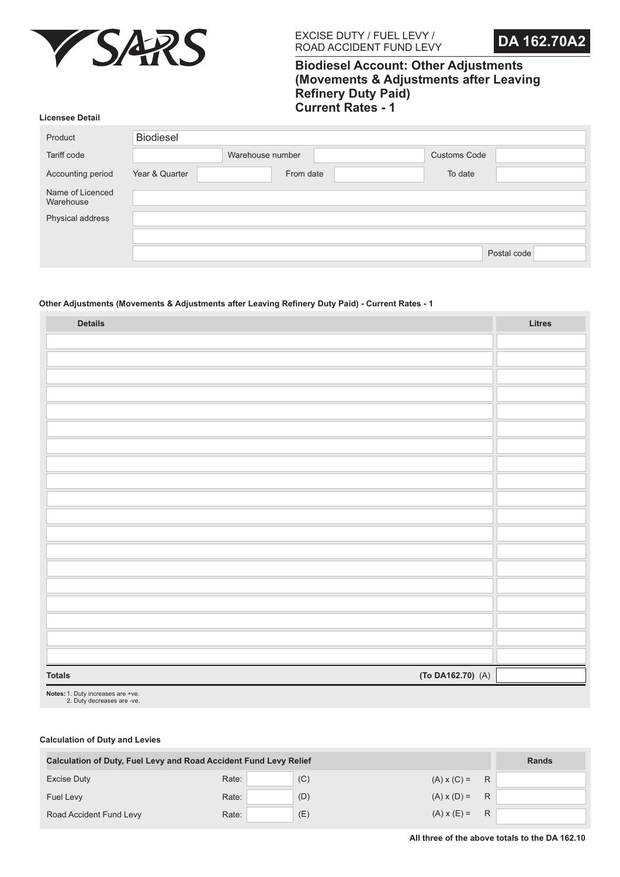



# **Biodiesel Account: Other Adjustments (Movements & Adjustments after Leaving Refinery Duty Paid) Current Rates - 1**

#### **Licensee Detail**

| Product                       | <b>Biodiesel</b> |                  |                     |             |
|-------------------------------|------------------|------------------|---------------------|-------------|
| Tariff code                   |                  | Warehouse number | <b>Customs Code</b> |             |
| Accounting period             | Year & Quarter   | From date        | To date             |             |
| Name of Licenced<br>Warehouse |                  |                  |                     |             |
| Physical address              |                  |                  |                     |             |
|                               |                  |                  |                     |             |
|                               |                  |                  |                     | Postal code |

# **Other Adjustments (Movements & Adjustments after Leaving Refinery Duty Paid) - Current Rates - 1**

| <b>Details</b>                         | Litres |
|----------------------------------------|--------|
|                                        |        |
|                                        |        |
|                                        |        |
|                                        |        |
|                                        |        |
|                                        |        |
|                                        |        |
|                                        |        |
|                                        |        |
|                                        |        |
|                                        |        |
|                                        |        |
|                                        |        |
|                                        |        |
|                                        |        |
|                                        |        |
|                                        |        |
|                                        |        |
|                                        |        |
| $(To DA162.70)$ $(A)$<br><b>Totals</b> |        |

Notes: 1. Duty increases are +ve.<br>2. Duty decreases are -ve.

| <b>Calculation of Duty, Fuel Levy and Road Accident Fund Levy Relief</b> |       |     |                    |   | <b>Rands</b> |
|--------------------------------------------------------------------------|-------|-----|--------------------|---|--------------|
| <b>Excise Duty</b>                                                       | Rate: | (C) | $(A) \times (C) =$ | R |              |
| <b>Fuel Levy</b>                                                         | Rate: | (D) | $(A) \times (D) =$ | R |              |
| Road Accident Fund Levy                                                  | Rate: | (E) | $(A) \times (E) =$ | R |              |